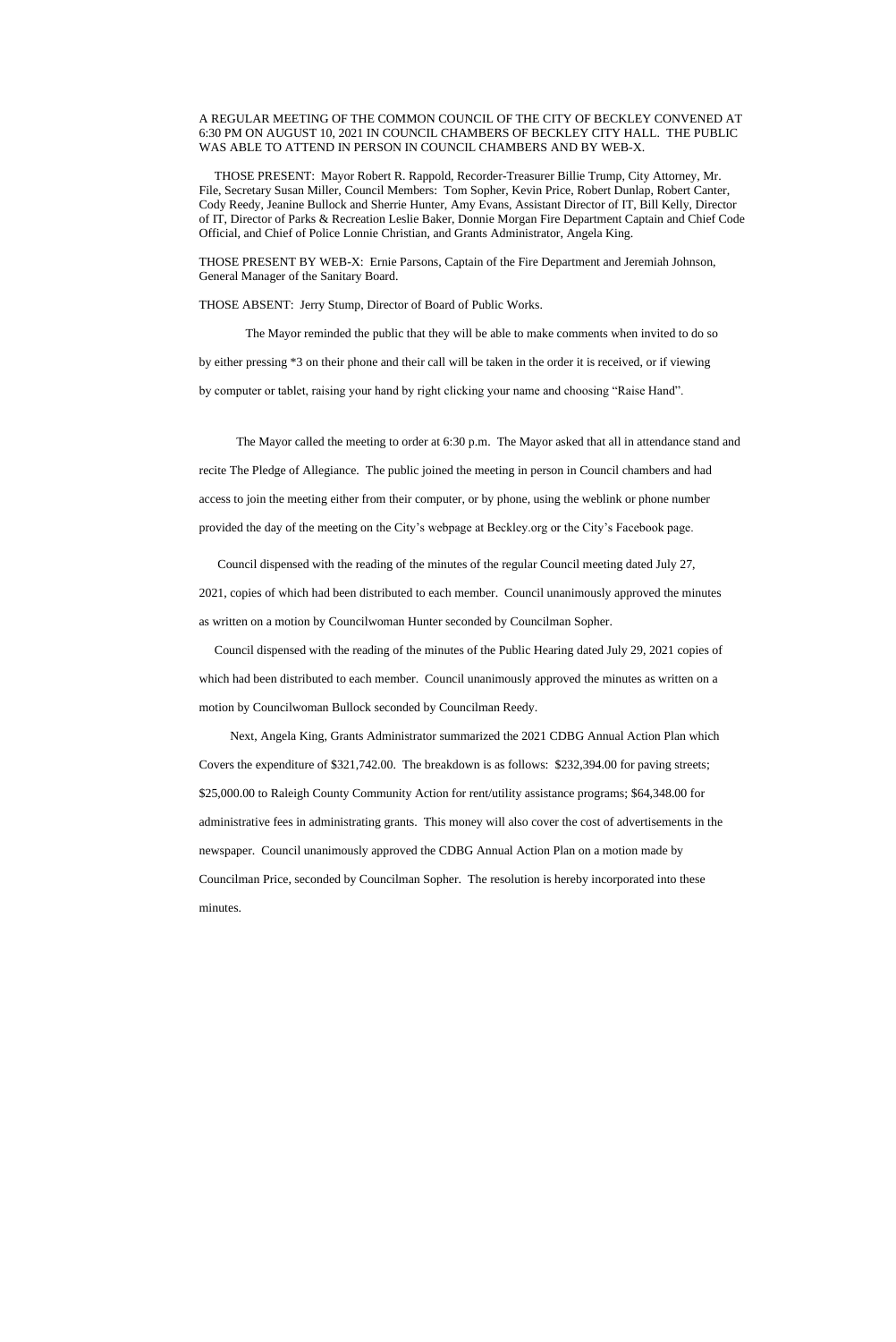## A REGULAR MEETING OF THE COMMON COUNCIL OF THE CITY OF BECKLEY CONVENED AT 6:30 PM ON AUGUST 10, 2021 IN COUNCIL CHAMBERS OF BECKLEY CITY HALL. THE PUBLIC WAS ABLE TO ATTEND IN PERSON IN COUNCIL CHAMBERS AND BY WEB-X.

 THOSE PRESENT: Mayor Robert R. Rappold, Recorder-Treasurer Billie Trump, City Attorney, Mr. File, Secretary Susan Miller, Council Members: Tom Sopher, Kevin Price, Robert Dunlap, Robert Canter, Cody Reedy, Jeanine Bullock and Sherrie Hunter, Amy Evans, Assistant Director of IT, Bill Kelly, Director of IT, Director of Parks & Recreation Leslie Baker, Donnie Morgan Fire Department Captain and Chief Code Official, and Chief of Police Lonnie Christian, and Grants Administrator, Angela King.

THOSE PRESENT BY WEB-X: Ernie Parsons, Captain of the Fire Department and Jeremiah Johnson, General Manager of the Sanitary Board.

THOSE ABSENT: Jerry Stump, Director of Board of Public Works.

 The Mayor reminded the public that they will be able to make comments when invited to do so by either pressing \*3 on their phone and their call will be taken in the order it is received, or if viewing

by computer or tablet, raising your hand by right clicking your name and choosing "Raise Hand".

The Mayor called the meeting to order at 6:30 p.m. The Mayor asked that all in attendance stand and recite The Pledge of Allegiance. The public joined the meeting in person in Council chambers and had access to join the meeting either from their computer, or by phone, using the weblink or phone number provided the day of the meeting on the City's webpage at Beckley.org or the City's Facebook page.

Council dispensed with the reading of the minutes of the regular Council meeting dated July 27,

2021, copies of which had been distributed to each member. Council unanimously approved the minutes as written on a motion by Councilwoman Hunter seconded by Councilman Sopher.

 Council dispensed with the reading of the minutes of the Public Hearing dated July 29, 2021 copies of which had been distributed to each member. Council unanimously approved the minutes as written on a motion by Councilwoman Bullock seconded by Councilman Reedy.

 Next, Angela King, Grants Administrator summarized the 2021 CDBG Annual Action Plan which Covers the expenditure of \$321,742.00. The breakdown is as follows: \$232,394.00 for paving streets; \$25,000.00 to Raleigh County Community Action for rent/utility assistance programs; \$64,348.00 for administrative fees in administrating grants. This money will also cover the cost of advertisements in the newspaper. Council unanimously approved the CDBG Annual Action Plan on a motion made by Councilman Price, seconded by Councilman Sopher. The resolution is hereby incorporated into these minutes.